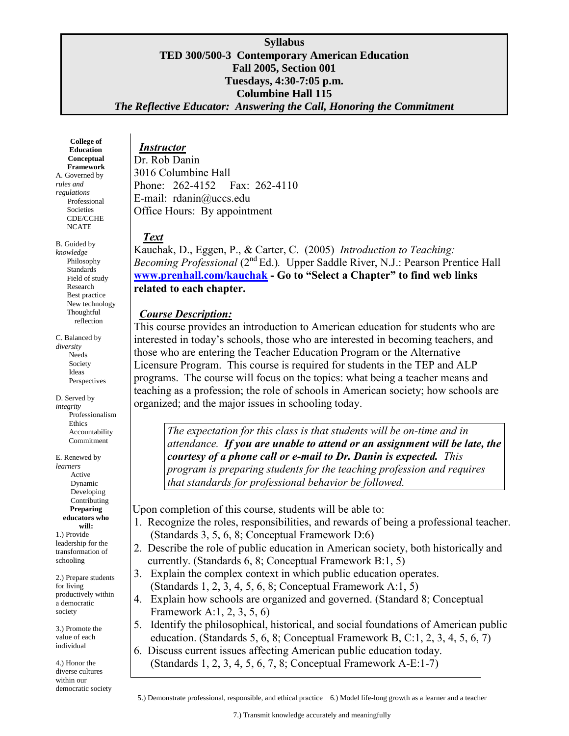#### **Syllabus TED 300/500-3 Contemporary American Education Fall 2005, Section 001 Tuesdays, 4:30-7:05 p.m. Columbine Hall 115** *The Reflective Educator: Answering the Call, Honoring the Commitment*

**College of Education Conceptual Framework**  A. Governed by *rules and regulations* Professional Societies

 CDE/CCHE NCATE

B. Guided by *knowledge* Philosophy **Standards**  Field of study Research Best practice New technology Thoughtful reflection

C. Balanced by *diversity* Needs Society Ideas Perspectives

D. Served by *integrity* Professionalism **Ethics**  Accountability Commitment

E. Renewed by *learners* Active Dynamic Developing Contributing **Preparing educators who will:** 1.) Provide leadership for the transformation of schooling

2.) Prepare students for living productively within a democratic society

3.) Promote the value of each individual

democratic society 4.) Honor the diverse cultures within our

 *Instructor* Dr. Rob Danin 3016 Columbine Hall Phone: 262-4152 Fax: 262-4110 E-mail: rdanin@uccs.edu Office Hours: By appointment

# *Tex Text*

Kauchak, D., Eggen, P., & Carter, C. (2005) *Introduction to Teaching:*  Becoming Professional (2<sup>nd</sup> Ed.). Upper Saddle River, N.J.: Pearson Prentice Hall **[www.prenhall.com/kauchak](http://www.prenhall.com/kauchak) - Go to "Select a Chapter" to find web links related to each chapter.**

# *Course Description:*

This course provides an introduction to American education for students who are interested in today's schools, those who are interested in becoming teachers, and those who are entering the Teacher Education Program or the Alternative Licensure Program. This course is required for students in the TEP and ALP programs. The course will focus on the topics: what being a teacher means and teaching as a profession; the role of schools in American society; how schools are organized; and the major issues in schooling today.

*The expectation for this class is that students will be on-time and in attendance. If you are unable to attend or an assignment will be late, the courtesy of a phone call or e-mail to Dr. Danin is expected. This program is preparing students for the teaching profession and requires that standards for professional behavior be followed.*

Upon completion of this course, students will be able to:

- 1. Recognize the roles, responsibilities, and rewards of being a professional teacher. (Standards 3, 5, 6, 8; Conceptual Framework D:6)
- 2. Describe the role of public education in American society, both historically and currently. (Standards 6, 8; Conceptual Framework B:1, 5)
- 3. Explain the complex context in which public education operates. (Standards 1, 2, 3, 4, 5, 6, 8; Conceptual Framework A:1, 5)
- 4. Explain how schools are organized and governed. (Standard 8; Conceptual Framework A:1, 2, 3, 5, 6)
- 5. Identify the philosophical, historical, and social foundations of American public education. (Standards 5, 6, 8; Conceptual Framework B, C:1, 2, 3, 4, 5, 6, 7)
- 6. Discuss current issues affecting American public education today. (Standards 1, 2, 3, 4, 5, 6, 7, 8; Conceptual Framework A-E:1-7)

5.) Demonstrate professional, responsible, and ethical practice 6.) Model life-long growth as a learner and a teacher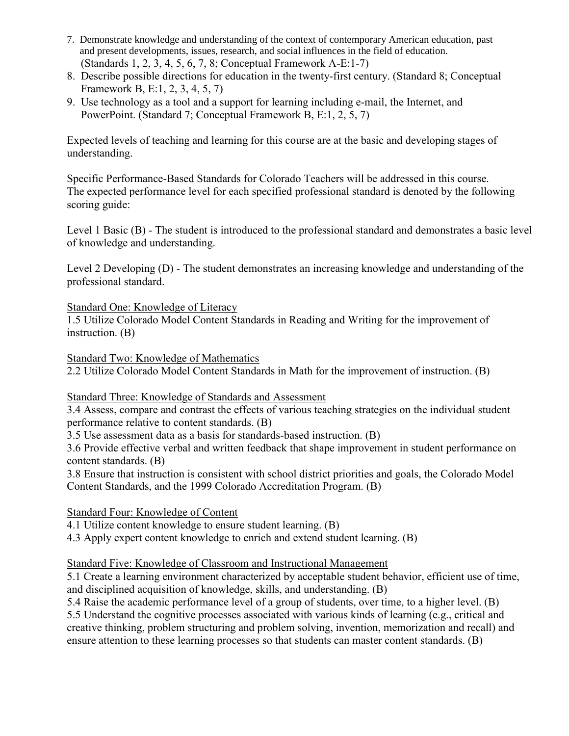- 7. Demonstrate knowledge and understanding of the context of contemporary American education, past and present developments, issues, research, and social influences in the field of education. (Standards 1, 2, 3, 4, 5, 6, 7, 8; Conceptual Framework A-E:1-7)
- 8. Describe possible directions for education in the twenty-first century. (Standard 8; Conceptual Framework B, E:1, 2, 3, 4, 5, 7)
- 9. Use technology as a tool and a support for learning including e-mail, the Internet, and PowerPoint. (Standard 7; Conceptual Framework B, E:1, 2, 5, 7)

Expected levels of teaching and learning for this course are at the basic and developing stages of understanding.

Specific Performance-Based Standards for Colorado Teachers will be addressed in this course. The expected performance level for each specified professional standard is denoted by the following scoring guide:

Level 1 Basic (B) - The student is introduced to the professional standard and demonstrates a basic level of knowledge and understanding.

Level 2 Developing (D) - The student demonstrates an increasing knowledge and understanding of the professional standard.

## Standard One: Knowledge of Literacy

1.5 Utilize Colorado Model Content Standards in Reading and Writing for the improvement of instruction. (B)

Standard Two: Knowledge of Mathematics

2.2 Utilize Colorado Model Content Standards in Math for the improvement of instruction. (B)

## Standard Three: Knowledge of Standards and Assessment

3.4 Assess, compare and contrast the effects of various teaching strategies on the individual student performance relative to content standards. (B)

3.5 Use assessment data as a basis for standards-based instruction. (B)

3.6 Provide effective verbal and written feedback that shape improvement in student performance on content standards. (B)

3.8 Ensure that instruction is consistent with school district priorities and goals, the Colorado Model Content Standards, and the 1999 Colorado Accreditation Program. (B)

## Standard Four: Knowledge of Content

4.1 Utilize content knowledge to ensure student learning. (B)

4.3 Apply expert content knowledge to enrich and extend student learning. (B)

## Standard Five: Knowledge of Classroom and Instructional Management

5.1 Create a learning environment characterized by acceptable student behavior, efficient use of time, and disciplined acquisition of knowledge, skills, and understanding. (B)

5.4 Raise the academic performance level of a group of students, over time, to a higher level. (B) 5.5 Understand the cognitive processes associated with various kinds of learning (e.g., critical and creative thinking, problem structuring and problem solving, invention, memorization and recall) and ensure attention to these learning processes so that students can master content standards. (B)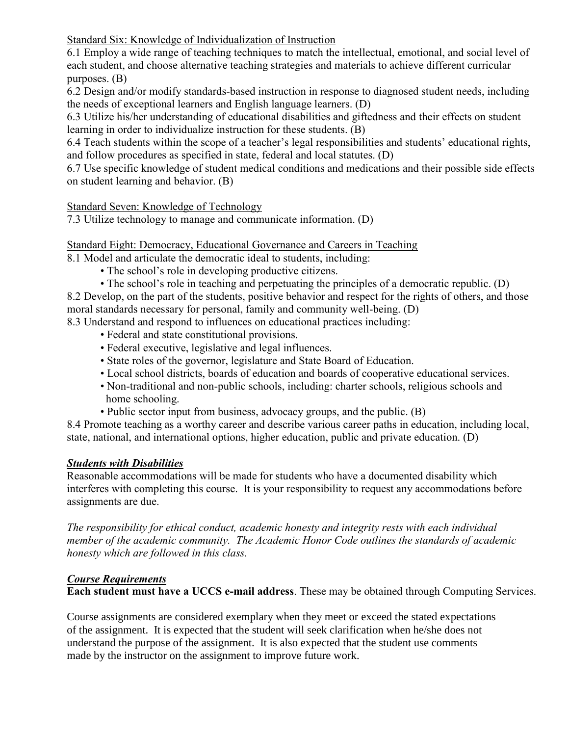Standard Six: Knowledge of Individualization of Instruction

6.1 Employ a wide range of teaching techniques to match the intellectual, emotional, and social level of each student, and choose alternative teaching strategies and materials to achieve different curricular purposes. (B)

6.2 Design and/or modify standards-based instruction in response to diagnosed student needs, including the needs of exceptional learners and English language learners. (D)

6.3 Utilize his/her understanding of educational disabilities and giftedness and their effects on student learning in order to individualize instruction for these students. (B)

6.4 Teach students within the scope of a teacher's legal responsibilities and students' educational rights, and follow procedures as specified in state, federal and local statutes. (D)

6.7 Use specific knowledge of student medical conditions and medications and their possible side effects on student learning and behavior. (B)

# Standard Seven: Knowledge of Technology

7.3 Utilize technology to manage and communicate information. (D)

Standard Eight: Democracy, Educational Governance and Careers in Teaching

8.1 Model and articulate the democratic ideal to students, including:

- The school's role in developing productive citizens.
- The school's role in teaching and perpetuating the principles of a democratic republic. (D)

8.2 Develop, on the part of the students, positive behavior and respect for the rights of others, and those moral standards necessary for personal, family and community well-being. (D)

- 8.3 Understand and respond to influences on educational practices including:
	- Federal and state constitutional provisions.
	- Federal executive, legislative and legal influences.
	- State roles of the governor, legislature and State Board of Education.
	- Local school districts, boards of education and boards of cooperative educational services.
	- Non-traditional and non-public schools, including: charter schools, religious schools and home schooling.
	- Public sector input from business, advocacy groups, and the public. (B)

8.4 Promote teaching as a worthy career and describe various career paths in education, including local, state, national, and international options, higher education, public and private education. (D)

## *Students with Disabilities*

Reasonable accommodations will be made for students who have a documented disability which interferes with completing this course. It is your responsibility to request any accommodations before assignments are due.

*The responsibility for ethical conduct, academic honesty and integrity rests with each individual member of the academic community. The Academic Honor Code outlines the standards of academic honesty which are followed in this class.*

# *Course Requirements*

**Each student must have a UCCS e-mail address**. These may be obtained through Computing Services.

Course assignments are considered exemplary when they meet or exceed the stated expectations of the assignment. It is expected that the student will seek clarification when he/she does not understand the purpose of the assignment. It is also expected that the student use comments made by the instructor on the assignment to improve future work.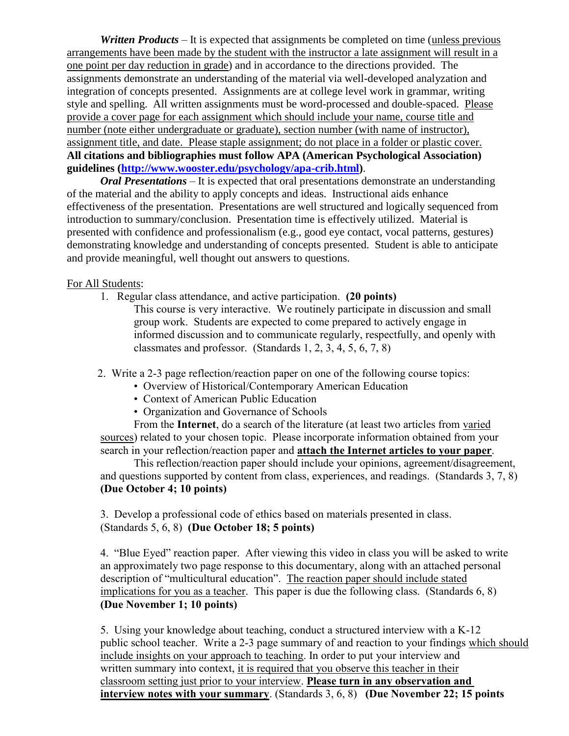*Written Products* – It is expected that assignments be completed on time (unless previous arrangements have been made by the student with the instructor a late assignment will result in a one point per day reduction in grade) and in accordance to the directions provided. The assignments demonstrate an understanding of the material via well-developed analyzation and integration of concepts presented. Assignments are at college level work in grammar, writing style and spelling. All written assignments must be word-processed and double-spaced. Please provide a cover page for each assignment which should include your name, course title and number (note either undergraduate or graduate), section number (with name of instructor), assignment title, and date. Please staple assignment; do not place in a folder or plastic cover. **All citations and bibliographies must follow APA (American Psychological Association) guidelines [\(http://www.wooster.edu/psychology/apa-crib.html\)](http://www.wooster.edu/psychology/apa-crib.html)**.

*Oral Presentations* – It is expected that oral presentations demonstrate an understanding of the material and the ability to apply concepts and ideas. Instructional aids enhance effectiveness of the presentation. Presentations are well structured and logically sequenced from introduction to summary/conclusion. Presentation time is effectively utilized. Material is presented with confidence and professionalism (e.g., good eye contact, vocal patterns, gestures) demonstrating knowledge and understanding of concepts presented. Student is able to anticipate and provide meaningful, well thought out answers to questions.

#### For All Students:

- 1. Regular class attendance, and active participation.**(20 points)**
	- This course is very interactive. We routinely participate in discussion and small group work. Students are expected to come prepared to actively engage in informed discussion and to communicate regularly, respectfully, and openly with classmates and professor. (Standards 1, 2, 3, 4, 5, 6, 7, 8)
- 2. Write a 2-3 page reflection/reaction paper on one of the following course topics:
	- Overview of Historical/Contemporary American Education
	- Context of American Public Education
	- Organization and Governance of Schools

From the **Internet**, do a search of the literature (at least two articles from varied sources) related to your chosen topic. Please incorporate information obtained from your search in your reflection/reaction paper and **attach the Internet articles to your paper**.

This reflection/reaction paper should include your opinions, agreement/disagreement, and questions supported by content from class, experiences, and readings.(Standards 3, 7, 8) **(Due October 4; 10 points)**

3. Develop a professional code of ethics based on materials presented in class. (Standards 5, 6, 8) **(Due October 18; 5 points)**

4. "Blue Eyed" reaction paper. After viewing this video in class you will be asked to write an approximately two page response to this documentary, along with an attached personal description of "multicultural education". The reaction paper should include stated implications for you as a teacher. This paper is due the following class. (Standards 6, 8) **(Due November 1; 10 points)**

 5. Using your knowledge about teaching, conduct a structured interview with a K-12 public school teacher. Write a 2-3 page summary of and reaction to your findings which should include insights on your approach to teaching. In order to put your interview and written summary into context, it is required that you observe this teacher in their classroom setting just prior to your interview. **Please turn in any observation and interview notes with your summary**. (Standards 3, 6, 8) **(Due November 22; 15 points**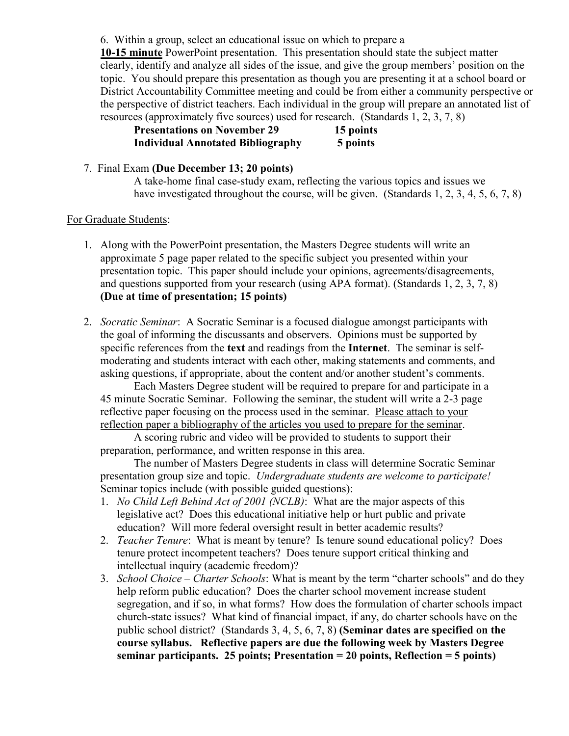6. Within a group, select an educational issue on which to prepare a

**10-15 minute** PowerPoint presentation. This presentation should state the subject matter clearly, identify and analyze all sides of the issue, and give the group members' position on the topic. You should prepare this presentation as though you are presenting it at a school board or District Accountability Committee meeting and could be from either a community perspective or the perspective of district teachers. Each individual in the group will prepare an annotated list of resources (approximately five sources) used for research. (Standards 1, 2, 3, 7, 8)

#### **Presentations on November 29 15 points Individual Annotated Bibliography 5 points**

#### 7. Final Exam **(Due December 13; 20 points)**

A take-home final case-study exam, reflecting the various topics and issues we have investigated throughout the course, will be given. (Standards 1, 2, 3, 4, 5, 6, 7, 8)

#### For Graduate Students:

- 1. Along with the PowerPoint presentation, the Masters Degree students will write an approximate 5 page paper related to the specific subject you presented within your presentation topic. This paper should include your opinions, agreements/disagreements, and questions supported from your research (using APA format). (Standards 1, 2, 3, 7, 8) **(Due at time of presentation; 15 points)**
- 2. *Socratic Seminar*: A Socratic Seminar is a focused dialogue amongst participants with the goal of informing the discussants and observers. Opinions must be supported by specific references from the **text** and readings from the **Internet**. The seminar is selfmoderating and students interact with each other, making statements and comments, and asking questions, if appropriate, about the content and/or another student's comments.

Each Masters Degree student will be required to prepare for and participate in a 45 minute Socratic Seminar. Following the seminar, the student will write a 2-3 page reflective paper focusing on the process used in the seminar. Please attach to your reflection paper a bibliography of the articles you used to prepare for the seminar.

A scoring rubric and video will be provided to students to support their preparation, performance, and written response in this area.

The number of Masters Degree students in class will determine Socratic Seminar presentation group size and topic. *Undergraduate students are welcome to participate!* Seminar topics include (with possible guided questions):

- 1. *No Child Left Behind Act of 2001 (NCLB)*:What are the major aspects of this legislative act? Does this educational initiative help or hurt public and private education? Will more federal oversight result in better academic results?
- 2. *Teacher Tenure*: What is meant by tenure? Is tenure sound educational policy? Does tenure protect incompetent teachers? Does tenure support critical thinking and intellectual inquiry (academic freedom)?
- 3. *School Choice – Charter Schools*: What is meant by the term "charter schools" and do they help reform public education? Does the charter school movement increase student segregation, and if so, in what forms? How does the formulation of charter schools impact church-state issues? What kind of financial impact, if any, do charter schools have on the public school district? (Standards 3, 4, 5, 6, 7, 8) **(Seminar dates are specified on the course syllabus. Reflective papers are due the following week by Masters Degree seminar participants. 25 points; Presentation = 20 points, Reflection = 5 points)**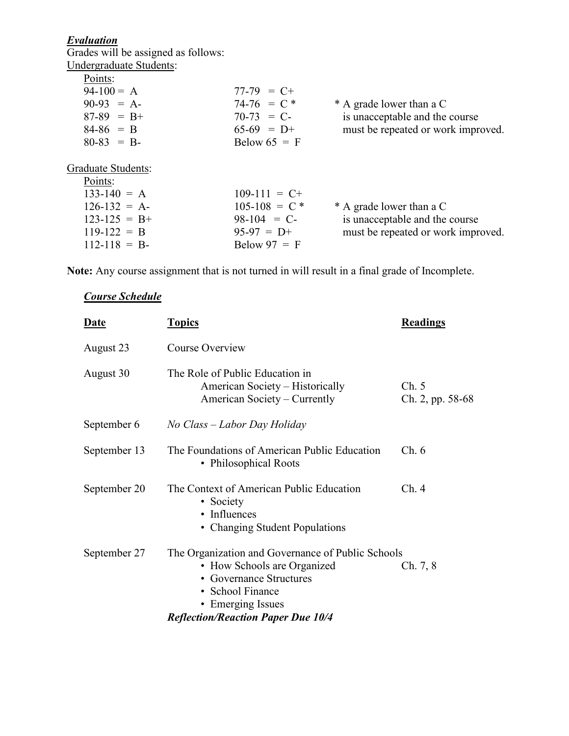#### *Evaluation*

Grades will be assigned as follows: Undergraduate Students:

| $77-79 = C+$    |                                    |
|-----------------|------------------------------------|
| $74-76 = C$ *   | * A grade lower than a C           |
| $70-73 = C$     | is unacceptable and the course     |
| $65-69 = D+$    | must be repeated or work improved. |
| Below $65 = F$  |                                    |
|                 |                                    |
| $109-111 = C+$  |                                    |
| $105-108 = C$ * | * A grade lower than a C           |
| $98-104 = C$    | is unacceptable and the course     |
| $95-97 = D+$    | must be repeated or work improved. |
| Below $97 = F$  |                                    |
|                 |                                    |

**Note:** Any course assignment that is not turned in will result in a final grade of Incomplete.

# *Course Schedule*

| <b>Topics</b>                                                                                                                                | <b>Readings</b>                                   |
|----------------------------------------------------------------------------------------------------------------------------------------------|---------------------------------------------------|
| Course Overview                                                                                                                              |                                                   |
| The Role of Public Education in<br>American Society – Historically<br>American Society – Currently                                           | Ch. 5<br>Ch. 2, pp. 58-68                         |
| No Class – Labor Day Holiday                                                                                                                 |                                                   |
| The Foundations of American Public Education<br>• Philosophical Roots                                                                        | Ch.6                                              |
| The Context of American Public Education<br>• Society<br>• Influences<br>• Changing Student Populations                                      | Ch.4                                              |
| • How Schools are Organized<br>• Governance Structures<br>• School Finance<br>• Emerging Issues<br><b>Reflection/Reaction Paper Due 10/4</b> | Ch. 7, 8                                          |
|                                                                                                                                              | The Organization and Governance of Public Schools |